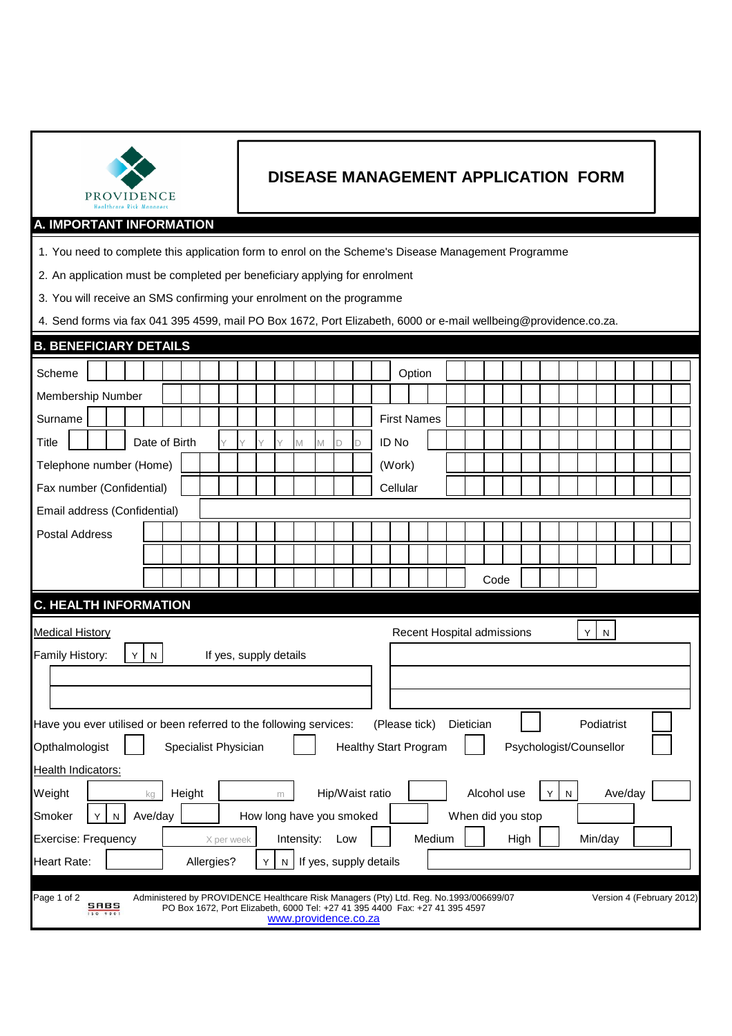| PROVIDENCE |
|------------|

## **DISEASE MANAGEMENT APPLICATION FORM**

## **A. IMPORTANT INFORMATION**

1. You need to complete this application form to enrol on the Scheme's Disease Management Programme

2. An application must be completed per beneficiary applying for enrolment

3. You will receive an SMS confirming your enrolment on the programme

4. Send forms via fax 041 395 4599, mail PO Box 1672, Port Elizabeth, 6000 or e-mail wellbeing@providence.co.za.

| <b>B. BENEFICIARY DETAILS</b>                                                                                                 |                                                                                                                                                                                                                                               |  |  |  |  |  |  |            |  |   |   |  |                        |                    |        |  |      |  |  |  |  |  |  |
|-------------------------------------------------------------------------------------------------------------------------------|-----------------------------------------------------------------------------------------------------------------------------------------------------------------------------------------------------------------------------------------------|--|--|--|--|--|--|------------|--|---|---|--|------------------------|--------------------|--------|--|------|--|--|--|--|--|--|
| Scheme                                                                                                                        |                                                                                                                                                                                                                                               |  |  |  |  |  |  |            |  |   |   |  |                        |                    | Option |  |      |  |  |  |  |  |  |
| Membership Number                                                                                                             |                                                                                                                                                                                                                                               |  |  |  |  |  |  |            |  |   |   |  |                        |                    |        |  |      |  |  |  |  |  |  |
| Surname                                                                                                                       |                                                                                                                                                                                                                                               |  |  |  |  |  |  |            |  |   |   |  |                        | <b>First Names</b> |        |  |      |  |  |  |  |  |  |
| Date of Birth<br>ID No<br>Title<br>Y<br>M<br>D<br>М<br>D                                                                      |                                                                                                                                                                                                                                               |  |  |  |  |  |  |            |  |   |   |  |                        |                    |        |  |      |  |  |  |  |  |  |
| Telephone number (Home)<br>(Work)                                                                                             |                                                                                                                                                                                                                                               |  |  |  |  |  |  |            |  |   |   |  |                        |                    |        |  |      |  |  |  |  |  |  |
| Cellular<br>Fax number (Confidential)                                                                                         |                                                                                                                                                                                                                                               |  |  |  |  |  |  |            |  |   |   |  |                        |                    |        |  |      |  |  |  |  |  |  |
| Email address (Confidential)                                                                                                  |                                                                                                                                                                                                                                               |  |  |  |  |  |  |            |  |   |   |  |                        |                    |        |  |      |  |  |  |  |  |  |
|                                                                                                                               | <b>Postal Address</b>                                                                                                                                                                                                                         |  |  |  |  |  |  |            |  |   |   |  |                        |                    |        |  |      |  |  |  |  |  |  |
|                                                                                                                               |                                                                                                                                                                                                                                               |  |  |  |  |  |  |            |  |   |   |  |                        |                    |        |  |      |  |  |  |  |  |  |
|                                                                                                                               |                                                                                                                                                                                                                                               |  |  |  |  |  |  |            |  |   |   |  |                        |                    |        |  | Code |  |  |  |  |  |  |
| <b>C. HEALTH INFORMATION</b>                                                                                                  |                                                                                                                                                                                                                                               |  |  |  |  |  |  |            |  |   |   |  |                        |                    |        |  |      |  |  |  |  |  |  |
| Recent Hospital admissions<br><b>Medical History</b><br>Y<br>${\sf N}$<br>Family History:<br>If yes, supply details<br>Y<br>N |                                                                                                                                                                                                                                               |  |  |  |  |  |  |            |  |   |   |  |                        |                    |        |  |      |  |  |  |  |  |  |
| Have you ever utilised or been referred to the following services:<br>Podiatrist<br>(Please tick)<br>Dietician                |                                                                                                                                                                                                                                               |  |  |  |  |  |  |            |  |   |   |  |                        |                    |        |  |      |  |  |  |  |  |  |
| Psychologist/Counsellor<br>Opthalmologist<br>Specialist Physician<br><b>Healthy Start Program</b>                             |                                                                                                                                                                                                                                               |  |  |  |  |  |  |            |  |   |   |  |                        |                    |        |  |      |  |  |  |  |  |  |
| Health Indicators:<br>Alcohol use<br>Ave/day<br>Hip/Waist ratio<br>Weight<br>Height<br>N<br>kg<br>Y<br>m                      |                                                                                                                                                                                                                                               |  |  |  |  |  |  |            |  |   |   |  |                        |                    |        |  |      |  |  |  |  |  |  |
| When did you stop<br>Ave/day<br>How long have you smoked<br>Smoker<br>Y<br>N                                                  |                                                                                                                                                                                                                                               |  |  |  |  |  |  |            |  |   |   |  |                        |                    |        |  |      |  |  |  |  |  |  |
| Medium<br>Exercise: Frequency<br>Intensity:<br>High<br>Min/day<br>Low<br>X per week                                           |                                                                                                                                                                                                                                               |  |  |  |  |  |  |            |  |   |   |  |                        |                    |        |  |      |  |  |  |  |  |  |
| <b>Heart Rate:</b>                                                                                                            |                                                                                                                                                                                                                                               |  |  |  |  |  |  | Allergies? |  | Υ | N |  | If yes, supply details |                    |        |  |      |  |  |  |  |  |  |
| Page 1 of 2                                                                                                                   | Administered by PROVIDENCE Healthcare Risk Managers (Pty) Ltd. Reg. No.1993/006699/07<br>Version 4 (February 2012)<br>SABS<br>PO Box 1672, Port Elizabeth, 6000 Tel: +27 41 395 4400 Fax: +27 41 395 4597<br>150 9001<br>www.providence.co.za |  |  |  |  |  |  |            |  |   |   |  |                        |                    |        |  |      |  |  |  |  |  |  |